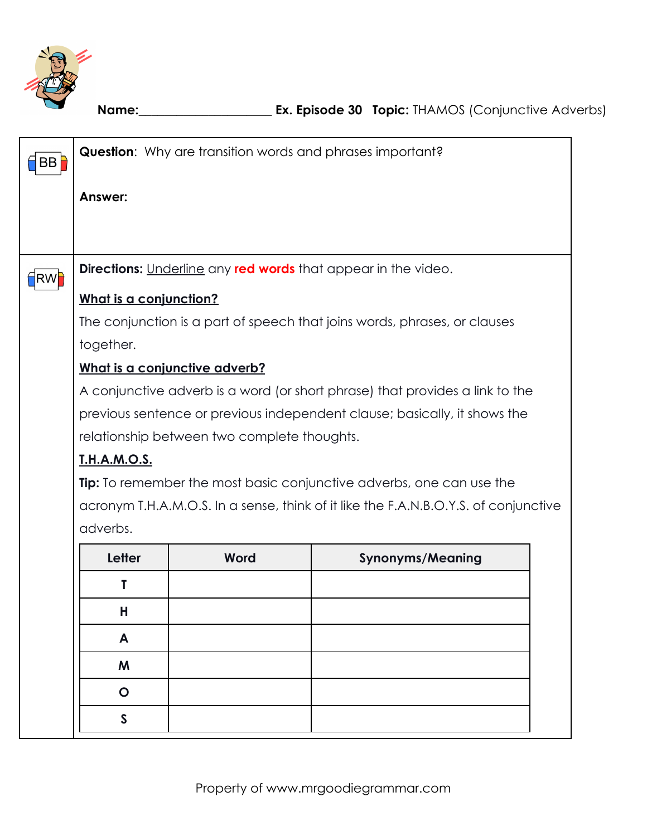

**Name:**\_\_\_\_\_\_\_\_\_\_\_\_\_\_\_\_\_\_\_\_\_ **Ex. Episode 30 Topic:** THAMOS (Conjunctive Adverbs)

| BB                 |                                                                             | <b>Question:</b> Why are transition words and phrases important? |                                                                                     |  |  |  |  |  |  |  |
|--------------------|-----------------------------------------------------------------------------|------------------------------------------------------------------|-------------------------------------------------------------------------------------|--|--|--|--|--|--|--|
|                    | Answer:                                                                     |                                                                  |                                                                                     |  |  |  |  |  |  |  |
|                    |                                                                             |                                                                  |                                                                                     |  |  |  |  |  |  |  |
|                    |                                                                             |                                                                  |                                                                                     |  |  |  |  |  |  |  |
| †RW <mark>i</mark> |                                                                             |                                                                  | <b>Directions:</b> Underline any <b>red words</b> that appear in the video.         |  |  |  |  |  |  |  |
|                    | What is a conjunction?                                                      |                                                                  |                                                                                     |  |  |  |  |  |  |  |
|                    |                                                                             |                                                                  | The conjunction is a part of speech that joins words, phrases, or clauses           |  |  |  |  |  |  |  |
|                    | together.                                                                   |                                                                  |                                                                                     |  |  |  |  |  |  |  |
|                    |                                                                             | What is a conjunctive adverb?                                    |                                                                                     |  |  |  |  |  |  |  |
|                    |                                                                             |                                                                  | A conjunctive adverb is a word (or short phrase) that provides a link to the        |  |  |  |  |  |  |  |
|                    |                                                                             |                                                                  | previous sentence or previous independent clause; basically, it shows the           |  |  |  |  |  |  |  |
|                    | relationship between two complete thoughts.                                 |                                                                  |                                                                                     |  |  |  |  |  |  |  |
|                    | <u>T.H.A.M.O.S.</u>                                                         |                                                                  |                                                                                     |  |  |  |  |  |  |  |
|                    | <b>Tip:</b> To remember the most basic conjunctive adverbs, one can use the |                                                                  |                                                                                     |  |  |  |  |  |  |  |
|                    |                                                                             |                                                                  | acronym T.H.A.M.O.S. In a sense, think of it like the F.A.N.B.O.Y.S. of conjunctive |  |  |  |  |  |  |  |
|                    | adverbs.                                                                    |                                                                  |                                                                                     |  |  |  |  |  |  |  |
|                    | Letter<br><b>Synonyms/Meaning</b><br>Word                                   |                                                                  |                                                                                     |  |  |  |  |  |  |  |
|                    | Τ                                                                           |                                                                  |                                                                                     |  |  |  |  |  |  |  |
|                    | Н                                                                           |                                                                  |                                                                                     |  |  |  |  |  |  |  |
|                    | A                                                                           |                                                                  |                                                                                     |  |  |  |  |  |  |  |
|                    | M                                                                           |                                                                  |                                                                                     |  |  |  |  |  |  |  |
|                    | $\mathbf O$                                                                 |                                                                  |                                                                                     |  |  |  |  |  |  |  |
|                    | $\mathsf{S}$                                                                |                                                                  |                                                                                     |  |  |  |  |  |  |  |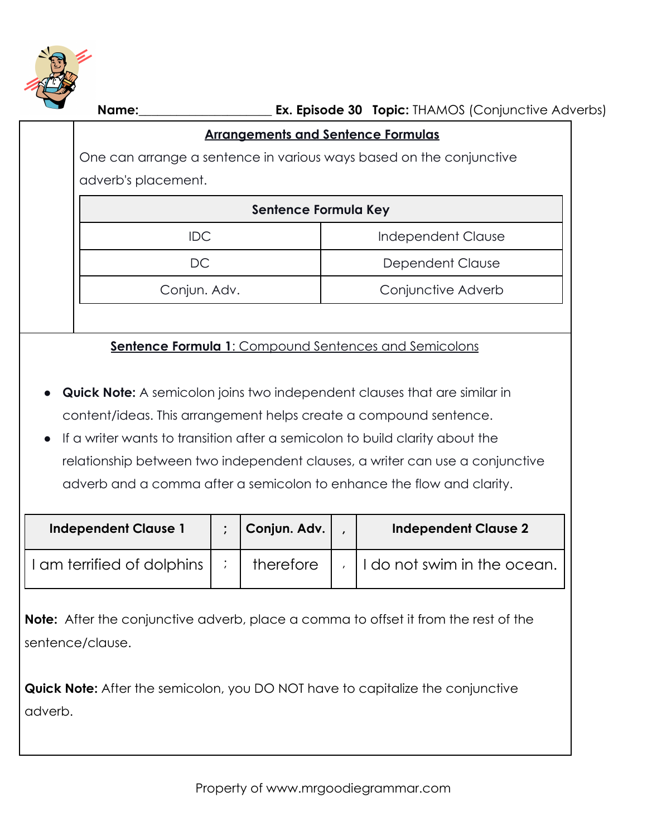

|                                                                                               | <b>Arrangements and Sentence Formulas</b>                                    |              |                           |                             |  |  |  |  |  |
|-----------------------------------------------------------------------------------------------|------------------------------------------------------------------------------|--------------|---------------------------|-----------------------------|--|--|--|--|--|
|                                                                                               | One can arrange a sentence in various ways based on the conjunctive          |              |                           |                             |  |  |  |  |  |
| adverb's placement.                                                                           |                                                                              |              |                           |                             |  |  |  |  |  |
|                                                                                               | Sentence Formula Key                                                         |              |                           |                             |  |  |  |  |  |
| <b>IDC</b>                                                                                    |                                                                              |              | <b>Independent Clause</b> |                             |  |  |  |  |  |
| DC                                                                                            |                                                                              |              | Dependent Clause          |                             |  |  |  |  |  |
| Conjun. Adv.                                                                                  |                                                                              |              |                           | Conjunctive Adverb          |  |  |  |  |  |
|                                                                                               |                                                                              |              |                           |                             |  |  |  |  |  |
| <b>Sentence Formula 1: Compound Sentences and Semicolons</b>                                  |                                                                              |              |                           |                             |  |  |  |  |  |
|                                                                                               |                                                                              |              |                           |                             |  |  |  |  |  |
| <b>Quick Note:</b> A semicolon joins two independent clauses that are similar in<br>$\bullet$ |                                                                              |              |                           |                             |  |  |  |  |  |
| content/ideas. This arrangement helps create a compound sentence.                             |                                                                              |              |                           |                             |  |  |  |  |  |
| If a writer wants to transition after a semicolon to build clarity about the<br>$\bullet$     |                                                                              |              |                           |                             |  |  |  |  |  |
|                                                                                               | relationship between two independent clauses, a writer can use a conjunctive |              |                           |                             |  |  |  |  |  |
|                                                                                               | adverb and a comma after a semicolon to enhance the flow and clarity.        |              |                           |                             |  |  |  |  |  |
|                                                                                               |                                                                              |              |                           |                             |  |  |  |  |  |
| <b>Independent Clause 1</b>                                                                   | $\ddot{\cdot}$                                                               | Conjun. Adv. |                           | <b>Independent Clause 2</b> |  |  |  |  |  |
| I am terrified of dolphins                                                                    | $\cdot$ .                                                                    | therefore    | $\lambda$                 | I do not swim in the ocean. |  |  |  |  |  |

**Note:** After the conjunctive adverb, place a comma to offset it from the rest of the sentence/clause.

**Quick Note:** After the semicolon, you DO NOT have to capitalize the conjunctive adverb.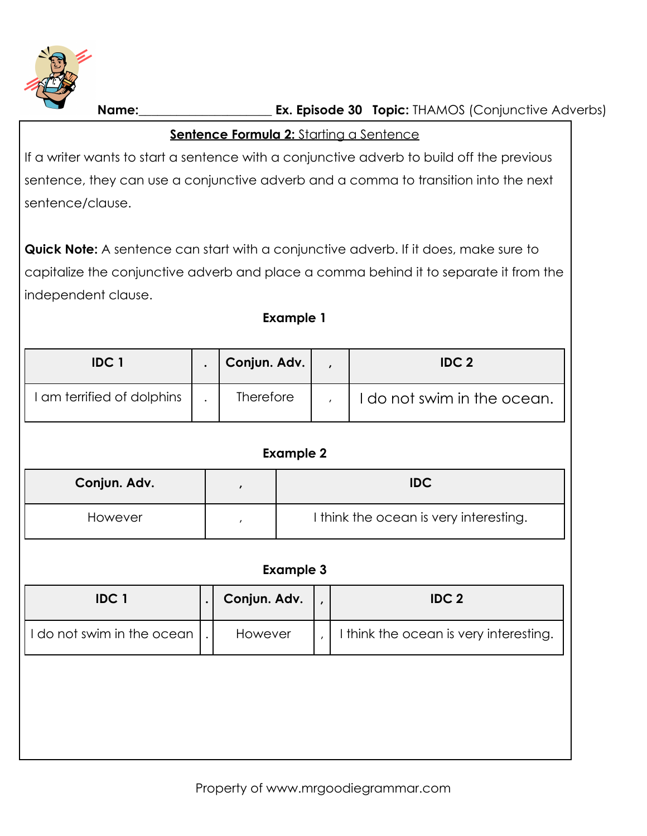

**Name:**\_\_\_\_\_\_\_\_\_\_\_\_\_\_\_\_\_\_\_\_\_ **Ex. Episode 30 Topic:** THAMOS (Conjunctive Adverbs)

## **Sentence Formula 2: Starting a Sentence**

If a writer wants to start a sentence with a conjunctive adverb to build off the previous sentence, they can use a conjunctive adverb and a comma to transition into the next sentence/clause.

**Quick Note:** A sentence can start with a conjunctive adverb. If it does, make sure to capitalize the conjunctive adverb and place a comma behind it to separate it from the independent clause.

#### **Example 1**

| <b>IDC1</b>                | Conjun. Adv.     | <b>IDC 2</b>              |
|----------------------------|------------------|---------------------------|
| I am terrified of dolphins | <b>Therefore</b> | do not swim in the ocean. |

| <b>Example 2</b> |  |                                        |  |  |  |  |
|------------------|--|----------------------------------------|--|--|--|--|
| Conjun. Adv.     |  | <b>IDC</b>                             |  |  |  |  |
| However          |  | I think the ocean is very interesting. |  |  |  |  |

#### **Example 3**

| <b>IDC1</b>                                | Conjun. Adv. | <b>IDC 2</b>                           |
|--------------------------------------------|--------------|----------------------------------------|
| I do not swim in the ocean $\mathbin\Vert$ | However      | I think the ocean is very interesting. |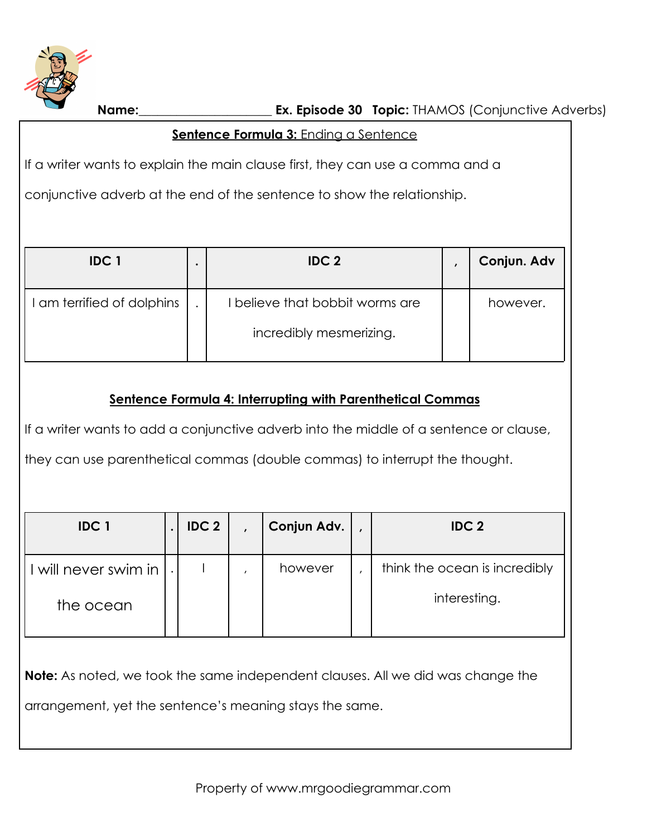

**Name:**\_\_\_\_\_\_\_\_\_\_\_\_\_\_\_\_\_\_\_\_\_ **Ex. Episode 30 Topic:** THAMOS (Conjunctive Adverbs)

### **Sentence Formula 3:** Ending a Sentence

If a writer wants to explain the main clause first, they can use a comma and a

conjunctive adverb at the end of the sentence to show the relationship.

| <b>IDC1</b>                | IDC <sub>2</sub>                | Conjun. Adv |
|----------------------------|---------------------------------|-------------|
| I am terrified of dolphins | I believe that bobbit worms are | however.    |
|                            | incredibly mesmerizing.         |             |

# **Sentence Formula 4: Interrupting with Parenthetical Commas**

If a writer wants to add a conjunctive adverb into the middle of a sentence or clause,

they can use parenthetical commas (double commas) to interrupt the thought.

| <b>IDC1</b>          | IDC <sub>2</sub> | Conjun Adv. | <b>IDC 2</b>                  |
|----------------------|------------------|-------------|-------------------------------|
| I will never swim in |                  | however     | think the ocean is incredibly |
| the ocean            |                  |             | interesting.                  |

**Note:** As noted, we took the same independent clauses. All we did was change the

arrangement, yet the sentence's meaning stays the same.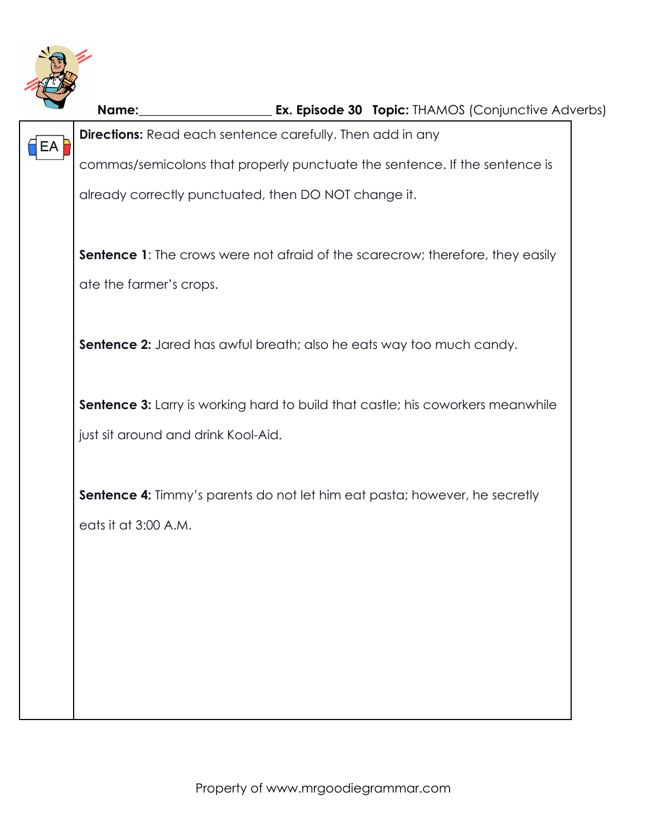